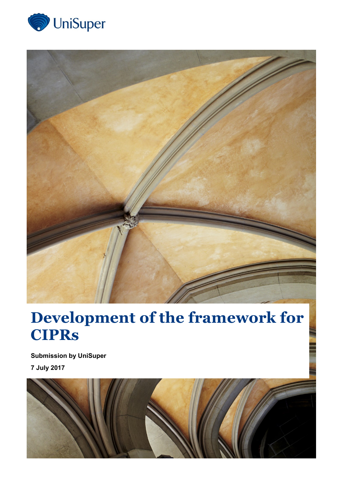



# **Development of the framework for CIPRs**

**Submission by UniSuper 7 July 2017**

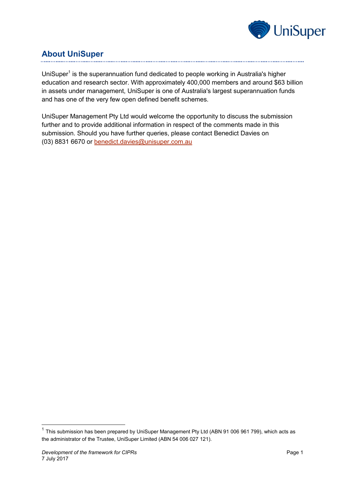

# **About UniSuper**

UniSuper<sup>1</sup> is the superannuation fund dedicated to people working in Australia's higher education and research sector. With approximately 400,000 members and around \$63 billion in assets under management, UniSuper is one of Australia's largest superannuation funds and has one of the very few open defined benefit schemes.

UniSuper Management Pty Ltd would welcome the opportunity to discuss the submission further and to provide additional information in respect of the comments made in this submission. Should you have further queries, please contact Benedict Davies on (03) 8831 6670 or [benedict.davies@unisuper.com.au](mailto:benedict.davies@unisuper.com.au)

-

 $1$  This submission has been prepared by UniSuper Management Pty Ltd (ABN 91 006 961 799), which acts as the administrator of the Trustee, UniSuper Limited (ABN 54 006 027 121).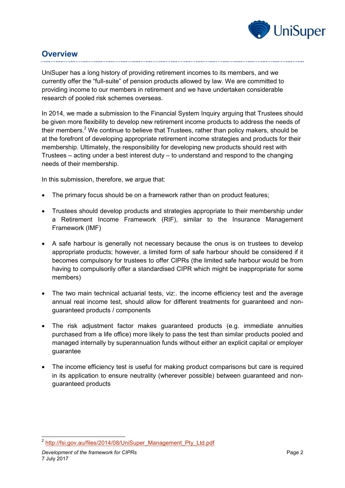

## **Overview**

UniSuper has a long history of providing retirement incomes to its members, and we currently offer the "full-suite" of pension products allowed by law. We are committed to providing income to our members in retirement and we have undertaken considerable research of pooled risk schemes overseas.

In 2014, we made a submission to the Financial System Inquiry arguing that Trustees should be given more flexibility to develop new retirement income products to address the needs of their members.<sup>2</sup> We continue to believe that Trustees, rather than policy makers, should be at the forefront of developing appropriate retirement income strategies and products for their membership. Ultimately, the responsibility for developing new products should rest with Trustees – acting under a best interest duty – to understand and respond to the changing needs of their membership.

In this submission, therefore, we argue that:

- The primary focus should be on a framework rather than on product features;
- Trustees should develop products and strategies appropriate to their membership under a Retirement Income Framework (RIF), similar to the Insurance Management Framework (IMF)
- A safe harbour is generally not necessary because the onus is on trustees to develop appropriate products; however, a limited form of safe harbour should be considered if it becomes compulsory for trustees to offer CIPRs (the limited safe harbour would be from having to compulsorily offer a standardised CIPR which might be inappropriate for some members)
- The two main technical actuarial tests, viz:. the income efficiency test and the average annual real income test, should allow for different treatments for guaranteed and nonguaranteed products / components
- The risk adjustment factor makes guaranteed products (e.g. immediate annuities purchased from a life office) more likely to pass the test than similar products pooled and managed internally by superannuation funds without either an explicit capital or employer guarantee
- The income efficiency test is useful for making product comparisons but care is required in its application to ensure neutrality (wherever possible) between guaranteed and nonguaranteed products

 2 [http://fsi.gov.au/files/2014/08/UniSuper\\_Management\\_Pty\\_Ltd.pdf](http://fsi.gov.au/files/2014/08/UniSuper_Management_Pty_Ltd.pdf)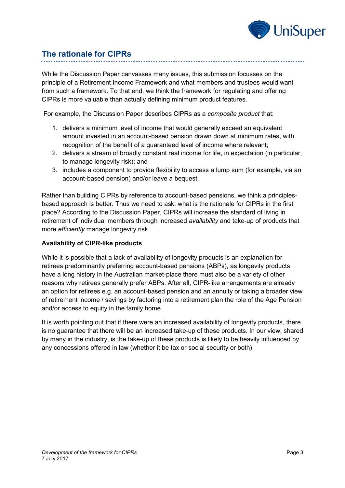

# **The rationale for CIPRs**

While the Discussion Paper canvasses many issues, this submission focusses on the principle of a Retirement Income Framework and what members and trustees would want from such a framework. To that end, we think the framework for regulating and offering CIPRs is more valuable than actually defining minimum product features.

For example, the Discussion Paper describes CIPRs as a *composite product* that:

- 1. delivers a minimum level of income that would generally exceed an equivalent amount invested in an account-based pension drawn down at minimum rates, with recognition of the benefit of a guaranteed level of income where relevant;
- 2. delivers a stream of broadly constant real income for life, in expectation (in particular, to manage longevity risk); and
- 3. includes a component to provide flexibility to access a lump sum (for example, via an account-based pension) and/or leave a bequest.

Rather than building CIPRs by reference to account-based pensions, we think a principlesbased approach is better. Thus we need to ask: what is the rationale for CIPRs in the first place? According to the Discussion Paper, CIPRs will increase the standard of living in retirement of individual members through increased *availability* and take-up of products that more *efficiently* manage longevity risk.

## **Availability of CIPR-like products**

While it is possible that a lack of availability of longevity products is an explanation for retirees predominantly preferring account-based pensions (ABPs), as longevity products have a long history in the Australian market-place there must also be a variety of other reasons why retirees generally prefer ABPs. After all, CIPR-like arrangements are already an option for retirees e.g. an account-based pension and an annuity or taking a broader view of retirement income / savings by factoring into a retirement plan the role of the Age Pension and/or access to equity in the family home.

It is worth pointing out that if there were an increased availability of longevity products, there is no guarantee that there will be an increased take-up of these products. In our view, shared by many in the industry, is the take-up of these products is likely to be heavily influenced by any concessions offered in law (whether it be tax or social security or both).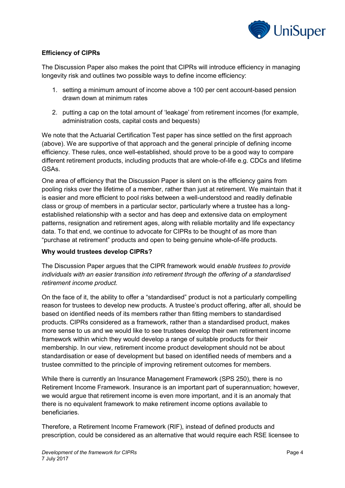

## **Efficiency of CIPRs**

The Discussion Paper also makes the point that CIPRs will introduce efficiency in managing longevity risk and outlines two possible ways to define income efficiency:

- 1. setting a minimum amount of income above a 100 per cent account-based pension drawn down at minimum rates
- 2. putting a cap on the total amount of 'leakage' from retirement incomes (for example, administration costs, capital costs and bequests)

We note that the Actuarial Certification Test paper has since settled on the first approach (above). We are supportive of that approach and the general principle of defining income efficiency. These rules, once well-established, should prove to be a good way to compare different retirement products, including products that are whole-of-life e.g. CDCs and lifetime GSAs.

One area of efficiency that the Discussion Paper is silent on is the efficiency gains from pooling risks over the lifetime of a member, rather than just at retirement. We maintain that it is easier and more efficient to pool risks between a well-understood and readily definable class or group of members in a particular sector, particularly where a trustee has a longestablished relationship with a sector and has deep and extensive data on employment patterns, resignation and retirement ages, along with reliable mortality and life expectancy data. To that end, we continue to advocate for CIPRs to be thought of as more than "purchase at retirement" products and open to being genuine whole-of-life products.

### **Why would trustees develop CIPRs?**

The Discussion Paper argues that the CIPR framework would *enable trustees to provide individuals with an easier transition into retirement through the offering of a standardised retirement income product.*

On the face of it, the ability to offer a "standardised" product is not a particularly compelling reason for trustees to develop new products. A trustee's product offering, after all, should be based on identified needs of its members rather than fitting members to standardised products. CIPRs considered as a framework, rather than a standardised product, makes more sense to us and we would like to see trustees develop their own retirement income framework within which they would develop a range of suitable products for their membership. In our view, retirement income product development should not be about standardisation or ease of development but based on identified needs of members and a trustee committed to the principle of improving retirement outcomes for members.

While there is currently an Insurance Management Framework (SPS 250), there is no Retirement Income Framework. Insurance is an important part of superannuation; however, we would argue that retirement income is even more important, and it is an anomaly that there is no equivalent framework to make retirement income options available to beneficiaries.

Therefore, a Retirement Income Framework (RIF), instead of defined products and prescription, could be considered as an alternative that would require each RSE licensee to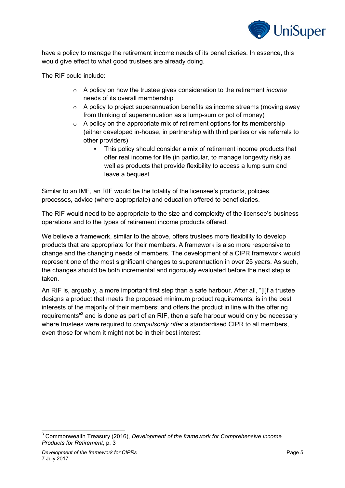

have a policy to manage the retirement income needs of its beneficiaries. In essence, this would give effect to what good trustees are already doing.

The RIF could include:

- o A policy on how the trustee gives consideration to the retirement *income* needs of its overall membership
- $\circ$  A policy to project superannuation benefits as income streams (moving away from thinking of superannuation as a lump-sum or pot of money)
- $\circ$  A policy on the appropriate mix of retirement options for its membership (either developed in-house, in partnership with third parties or via referrals to other providers)
	- This policy should consider a mix of retirement income products that offer real income for life (in particular, to manage longevity risk) as well as products that provide flexibility to access a lump sum and leave a bequest

Similar to an IMF, an RIF would be the totality of the licensee's products, policies, processes, advice (where appropriate) and education offered to beneficiaries.

The RIF would need to be appropriate to the size and complexity of the licensee's business operations and to the types of retirement income products offered.

We believe a framework, similar to the above, offers trustees more flexibility to develop products that are appropriate for their members. A framework is also more responsive to change and the changing needs of members. The development of a CIPR framework would represent one of the most significant changes to superannuation in over 25 years. As such, the changes should be both incremental and rigorously evaluated before the next step is taken.

An RIF is, arguably, a more important first step than a safe harbour. After all, "[I]f a trustee designs a product that meets the proposed minimum product requirements; is in the best interests of the majority of their members; and offers the product in line with the offering requirements<sup>3</sup> and is done as part of an RIF, then a safe harbour would only be necessary where trustees were required to *compulsorily offer* a standardised CIPR to all members, even those for whom it might not be in their best interest.

<sup>-</sup><sup>3</sup> Commonwealth Treasury (2016), *Development of the framework for Comprehensive Income Products for Retirement*, p. 3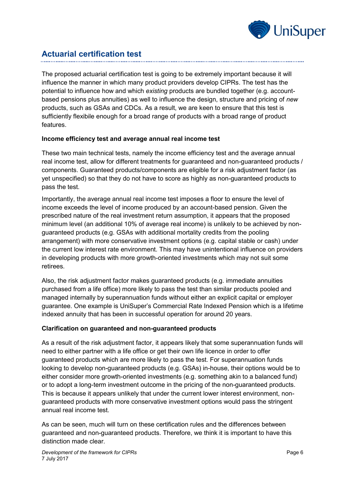

# **Actuarial certification test**

The proposed actuarial certification test is going to be extremely important because it will influence the manner in which many product providers develop CIPRs. The test has the potential to influence how and which *existing* products are bundled together (e.g. accountbased pensions plus annuities) as well to influence the design, structure and pricing of *new*  products, such as GSAs and CDCs. As a result, we are keen to ensure that this test is sufficiently flexibile enough for a broad range of products with a broad range of product features.

## **Income efficiency test and average annual real income test**

These two main technical tests, namely the income efficiency test and the average annual real income test, allow for different treatments for guaranteed and non-guaranteed products / components. Guaranteed products/components are eligible for a risk adjustment factor (as yet unspecified) so that they do not have to score as highly as non-guaranteed products to pass the test.

Importantly, the average annual real income test imposes a floor to ensure the level of income exceeds the level of income produced by an account-based pension. Given the prescribed nature of the real investment return assumption, it appears that the proposed minimum level (an additional 10% of average real income) is unlikely to be achieved by nonguaranteed products (e.g. GSAs with additional mortality credits from the pooling arrangement) with more conservative investment options (e.g. capital stable or cash) under the current low interest rate environment. This may have unintentional influence on providers in developing products with more growth-oriented investments which may not suit some retirees.

Also, the risk adjustment factor makes guaranteed products (e.g. immediate annuities purchased from a life office) more likely to pass the test than similar products pooled and managed internally by superannuation funds without either an explicit capital or employer guarantee. One example is UniSuper's Commercial Rate Indexed Pension which is a lifetime indexed annuity that has been in successful operation for around 20 years.

### **Clarification on guaranteed and non-guaranteed products**

As a result of the risk adjustment factor, it appears likely that some superannuation funds will need to either partner with a life office or get their own life licence in order to offer guaranteed products which are more likely to pass the test. For superannuation funds looking to develop non-guaranteed products (e.g. GSAs) in-house, their options would be to either consider more growth-oriented investments (e.g. something akin to a balanced fund) or to adopt a long-term investment outcome in the pricing of the non-guaranteed products. This is because it appears unlikely that under the current lower interest environment, nonguaranteed products with more conservative investment options would pass the stringent annual real income test.

As can be seen, much will turn on these certification rules and the differences between guaranteed and non-guaranteed products. Therefore, we think it is important to have this distinction made clear.